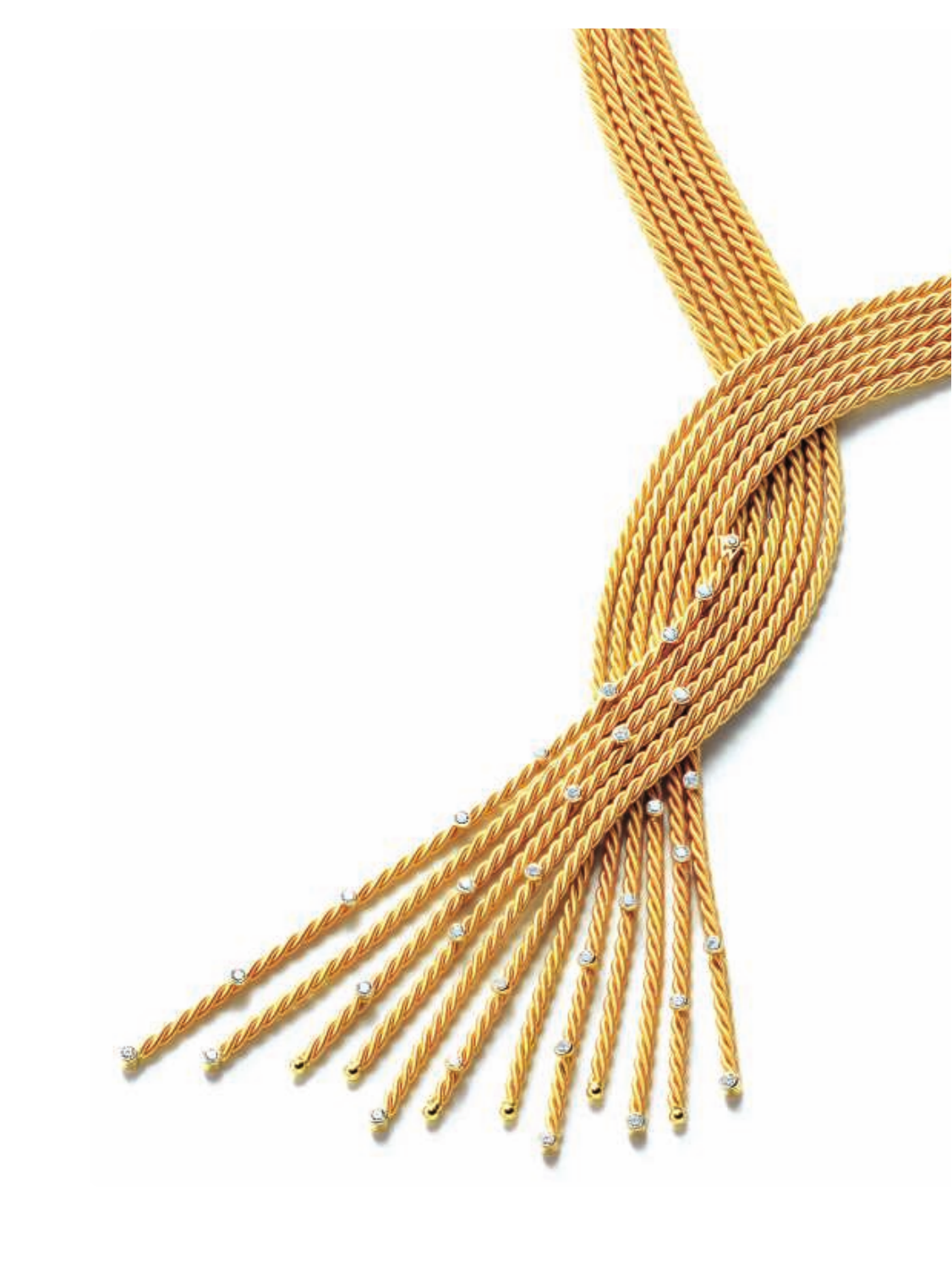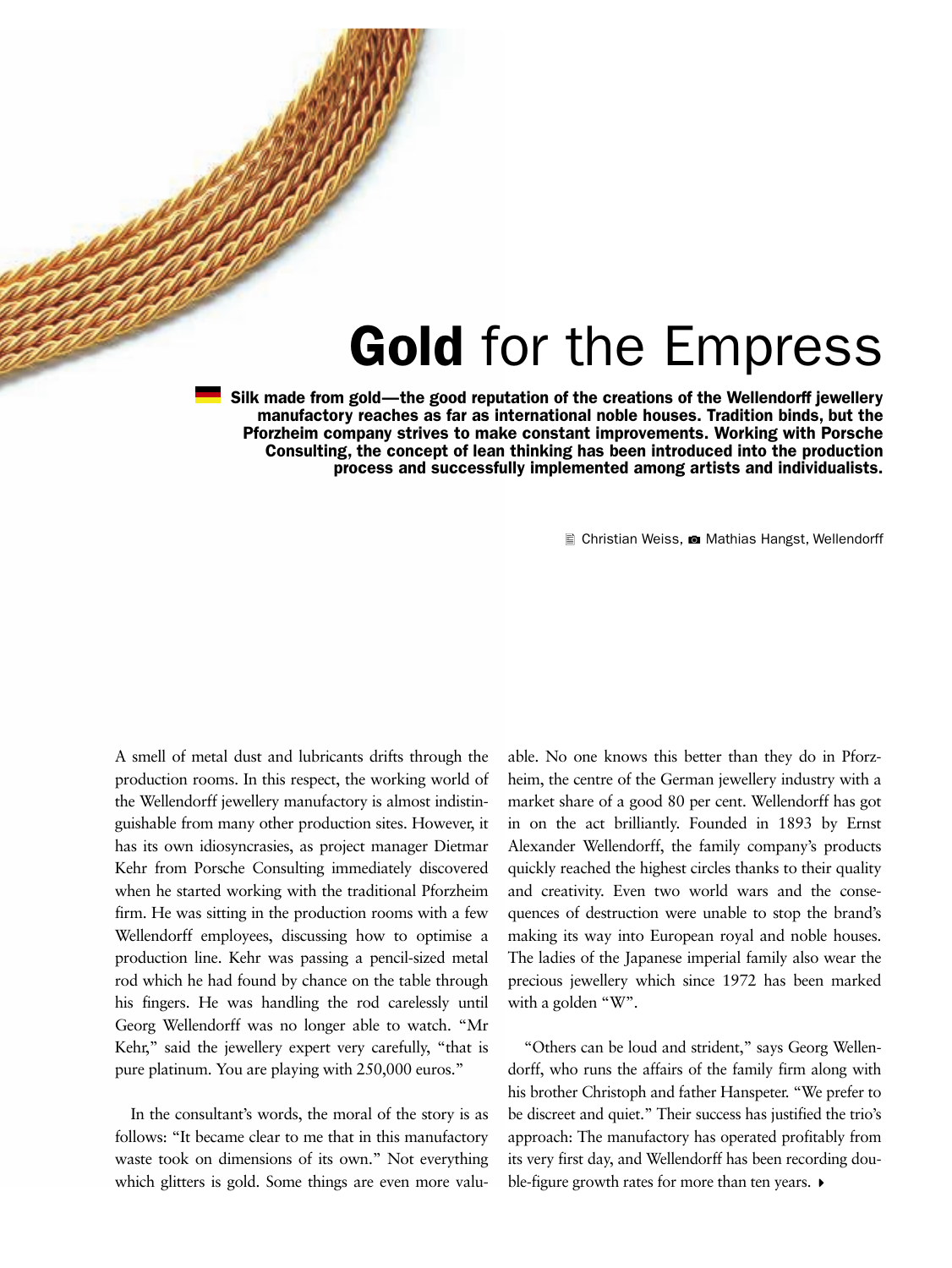## Gold for the Empress

Silk made from gold—the good reputation of the creations of the Wellendorff jewellery manufactory reaches as far as international noble houses. Tradition binds, but the Pforzheim company strives to make constant improvements. Working with Porsche Consulting, the concept of lean thinking has been introduced into the production process and successfully implemented among artists and individualists.

■ Christian Weiss, ■ Mathias Hangst, Wellendorff

A smell of metal dust and lubricants drifts through the production rooms. In this respect, the working world of the Wellendorff jewellery manufactory is almost indistinguishable from many other production sites. However, it has its own idiosyncrasies, as project manager Dietmar Kehr from Porsche Consulting immediately discovered when he started working with the traditional Pforzheim firm. He was sitting in the production rooms with a few Wellendorff employees, discussing how to optimise a production line. Kehr was passing a pencil-sized metal rod which he had found by chance on the table through his fingers. He was handling the rod carelessly until Georg Wellendorff was no longer able to watch. "Mr Kehr," said the jewellery expert very carefully, "that is pure platinum. You are playing with 250,000 euros."

In the consultant's words, the moral of the story is as follows: "It became clear to me that in this manufactory waste took on dimensions of its own." Not everything which glitters is gold. Some things are even more valuable. No one knows this better than they do in Pforzheim, the centre of the German jewellery industry with a market share of a good 80 per cent. Wellendorff has got in on the act brilliantly. Founded in 1893 by Ernst Alexander Wellendorff, the family company's products quickly reached the highest circles thanks to their quality and creativity. Even two world wars and the consequences of destruction were unable to stop the brand's making its way into European royal and noble houses. The ladies of the Japanese imperial family also wear the precious jewellery which since 1972 has been marked with a golden "W".

"Others can be loud and strident," says Georg Wellendorff, who runs the affairs of the family firm along with his brother Christoph and father Hanspeter. "We prefer to be discreet and quiet." Their success has justified the trio's approach: The manufactory has operated profitably from its very first day, and Wellendorff has been recording double-figure growth rates for more than ten years.  $\blacktriangleright$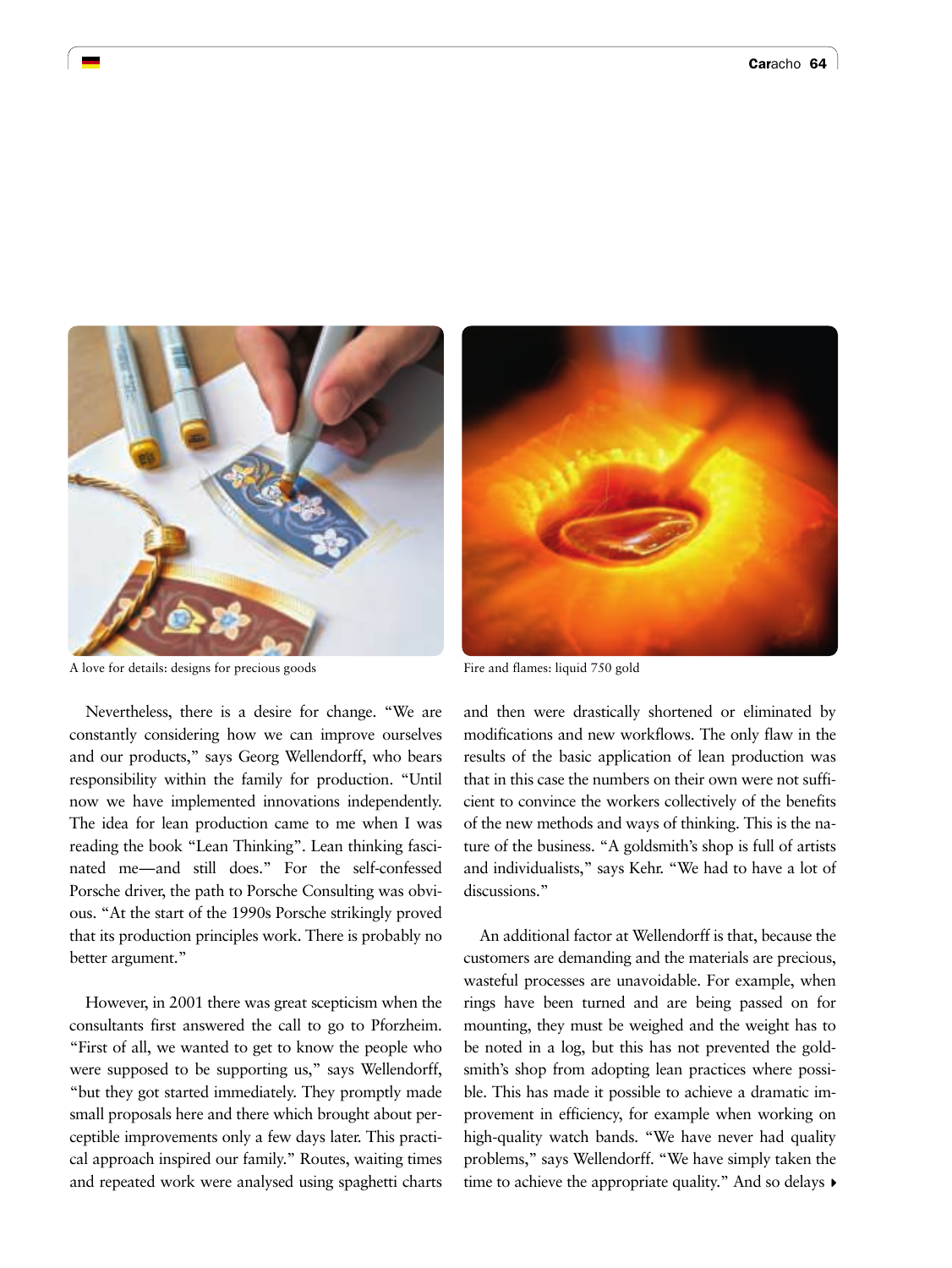

A love for details: designs for precious goods Fire and flames: liquid 750 gold

Nevertheless, there is a desire for change. "We are constantly considering how we can improve ourselves and our products," says Georg Wellendorff, who bears responsibility within the family for production. "Until now we have implemented innovations independently. The idea for lean production came to me when I was reading the book "Lean Thinking". Lean thinking fascinated me—and still does." For the self-confessed Porsche driver, the path to Porsche Consulting was obvious. "At the start of the 1990s Porsche strikingly proved that its production principles work. There is probably no better argument."

However, in 2001 there was great scepticism when the consultants first answered the call to go to Pforzheim. "First of all, we wanted to get to know the people who were supposed to be supporting us," says Wellendorff, "but they got started immediately. They promptly made small proposals here and there which brought about perceptible improvements only a few days later. This practical approach inspired our family." Routes, waiting times and repeated work were analysed using spaghetti charts



and then were drastically shortened or eliminated by modifications and new workflows. The only flaw in the results of the basic application of lean production was that in this case the numbers on their own were not sufficient to convince the workers collectively of the benefits of the new methods and ways of thinking. This is the nature of the business. "A goldsmith's shop is full of artists and individualists," says Kehr. "We had to have a lot of discussions."

An additional factor at Wellendorff is that, because the customers are demanding and the materials are precious, wasteful processes are unavoidable. For example, when rings have been turned and are being passed on for mounting, they must be weighed and the weight has to be noted in a log, but this has not prevented the goldsmith's shop from adopting lean practices where possible. This has made it possible to achieve a dramatic improvement in efficiency, for example when working on high-quality watch bands. "We have never had quality problems," says Wellendorff. "We have simply taken the time to achieve the appropriate quality." And so delays  $\rho$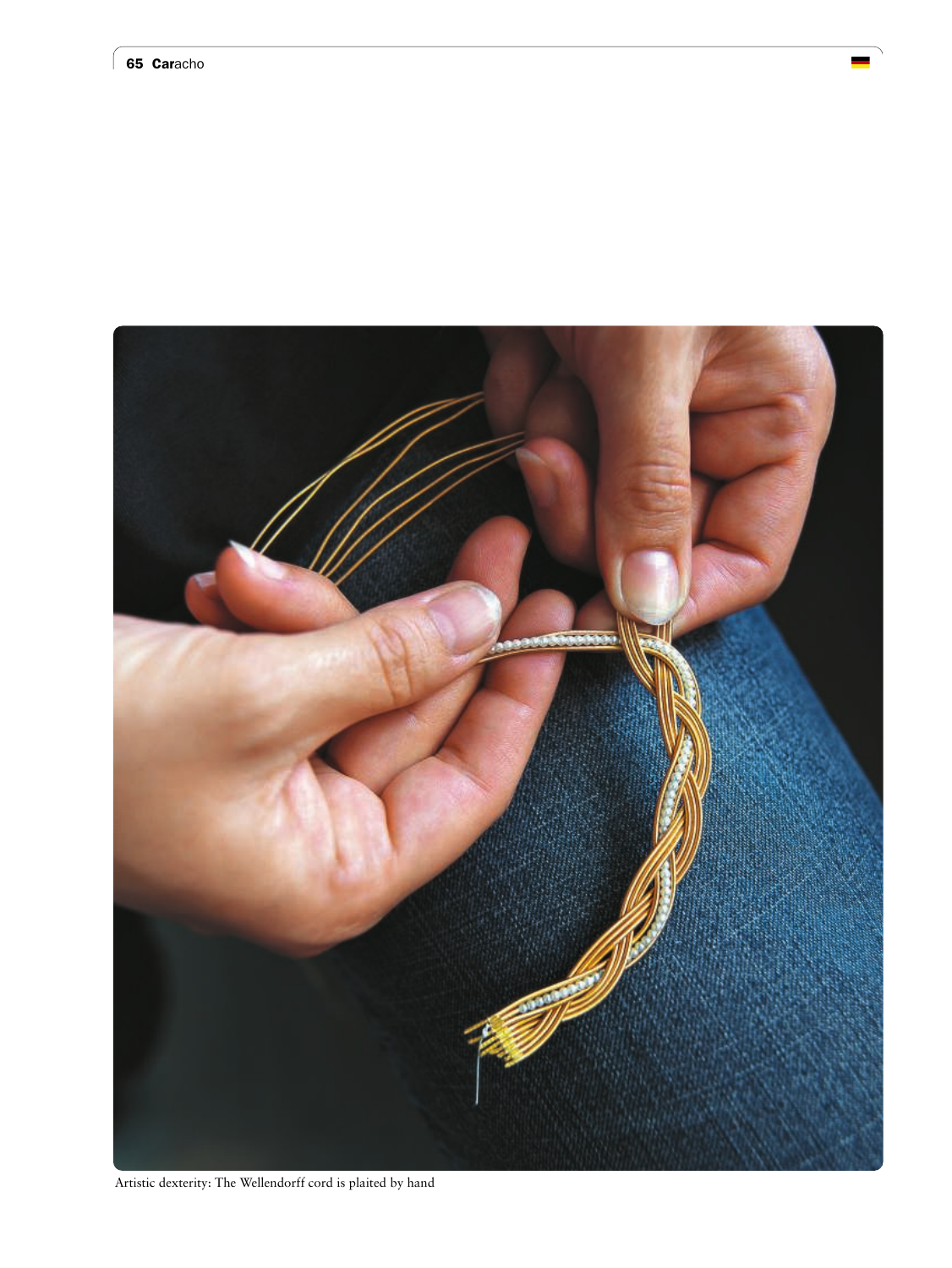

Artistic dexterity: The Wellendorff cord is plaited by hand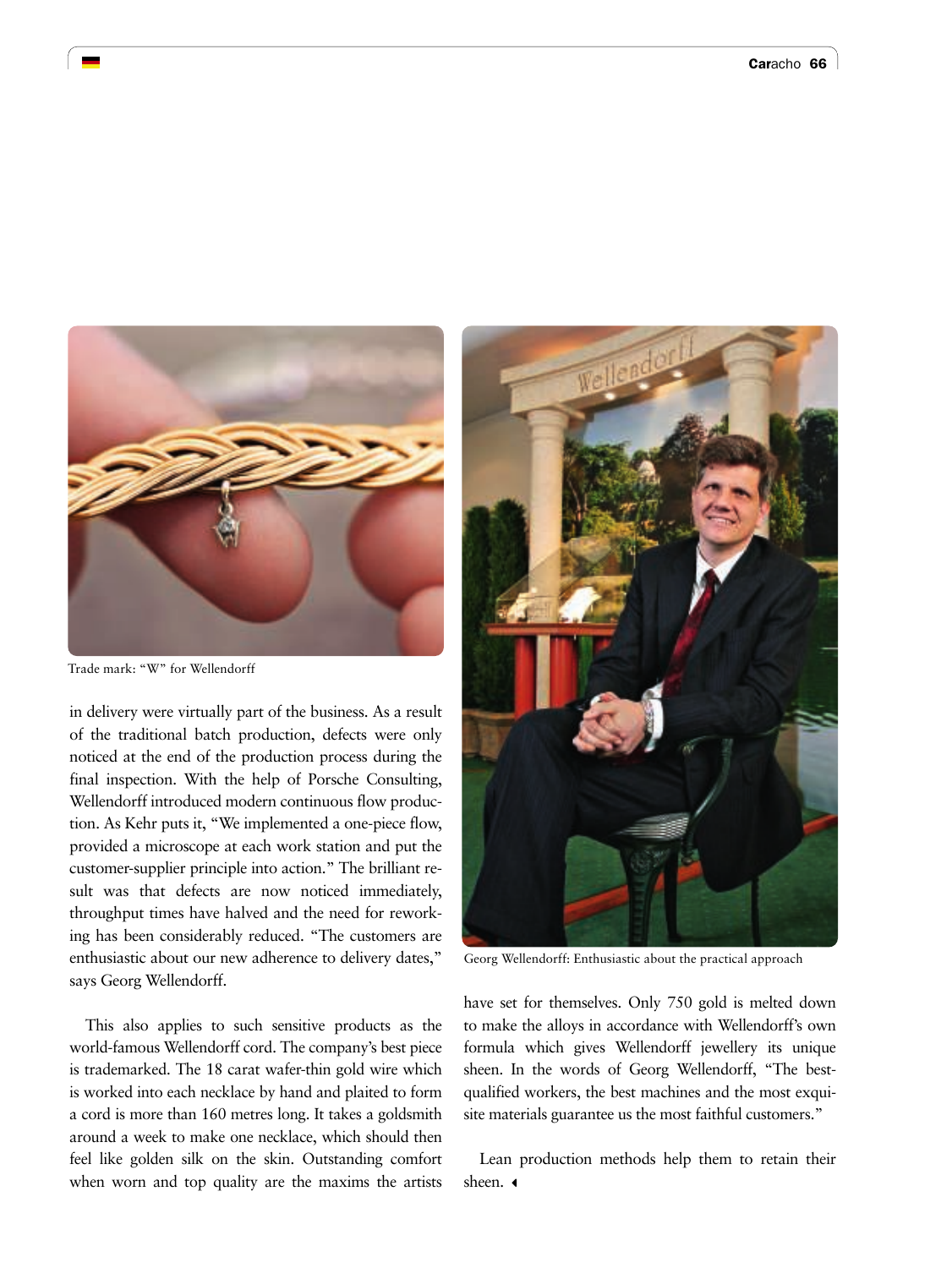

Trade mark: "W" for Wellendorff

in delivery were virtually part of the business. As a result of the traditional batch production, defects were only noticed at the end of the production process during the final inspection. With the help of Porsche Consulting, Wellendorff introduced modern continuous flow production. As Kehr puts it, "We implemented a one-piece flow, provided a microscope at each work station and put the customer-supplier principle into action." The brilliant result was that defects are now noticed immediately, throughput times have halved and the need for reworking has been considerably reduced. "The customers are enthusiastic about our new adherence to delivery dates," says Georg Wellendorff.

This also applies to such sensitive products as the world-famous Wellendorff cord. The company's best piece is trademarked. The 18 carat wafer-thin gold wire which is worked into each necklace by hand and plaited to form a cord is more than 160 metres long. It takes a goldsmith around a week to make one necklace, which should then feel like golden silk on the skin. Outstanding comfort when worn and top quality are the maxims the artists



Georg Wellendorff: Enthusiastic about the practical approach

have set for themselves. Only 750 gold is melted down to make the alloys in accordance with Wellendorff's own formula which gives Wellendorff jewellery its unique sheen. In the words of Georg Wellendorff, "The bestqualified workers, the best machines and the most exquisite materials guarantee us the most faithful customers."

Lean production methods help them to retain their sheen.  $\triangleleft$